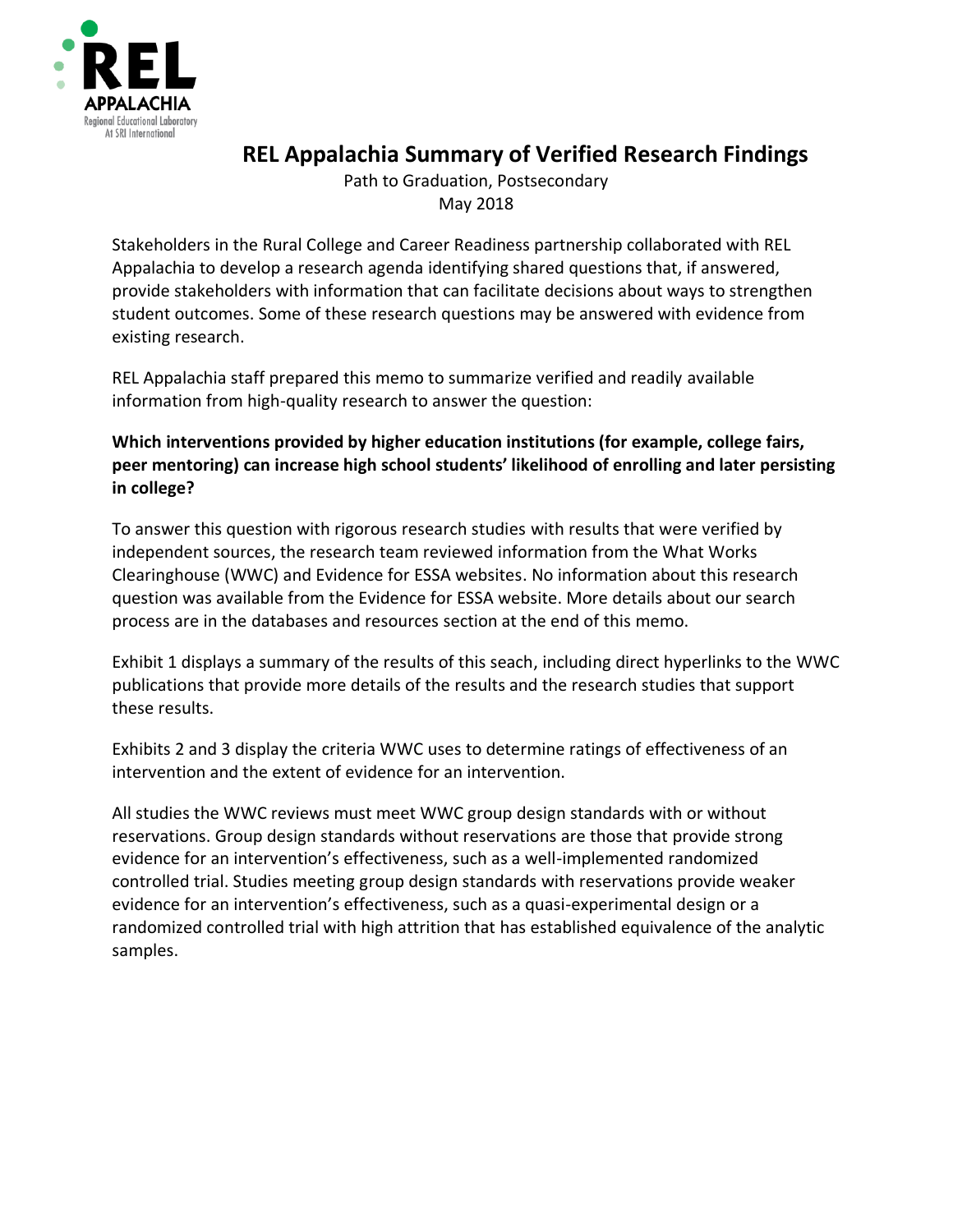

## **REL Appalachia Summary of Verified Research Findings**

Path to Graduation, Postsecondary May 2018

Stakeholders in the Rural College and Career Readiness partnership collaborated with REL Appalachia to develop a research agenda identifying shared questions that, if answered, provide stakeholders with information that can facilitate decisions about ways to strengthen student outcomes. Some of these research questions may be answered with evidence from existing research.

REL Appalachia staff prepared this memo to summarize verified and readily available information from high-quality research to answer the question:

### **Which interventions provided by higher education institutions (for example, college fairs, peer mentoring) can increase high school students' likelihood of enrolling and later persisting in college?**

To answer this question with rigorous research studies with results that were verified by independent sources, the research team reviewed information from the What Works Clearinghouse (WWC) and Evidence for ESSA websites. No information about this research question was available from the Evidence for ESSA website. More details about our search process are in the databases and resources section at the end of this memo.

Exhibit 1 displays a summary of the results of this seach, including direct hyperlinks to the WWC publications that provide more details of the results and the research studies that support these results.

Exhibits 2 and 3 display the criteria WWC uses to determine ratings of effectiveness of an intervention and the extent of evidence for an intervention.

All studies the WWC reviews must meet WWC group design standards with or without reservations. Group design standards without reservations are those that provide strong evidence for an intervention's effectiveness, such as a well-implemented randomized controlled trial. Studies meeting group design standards with reservations provide weaker evidence for an intervention's effectiveness, such as a quasi-experimental design or a randomized controlled trial with high attrition that has established equivalence of the analytic samples.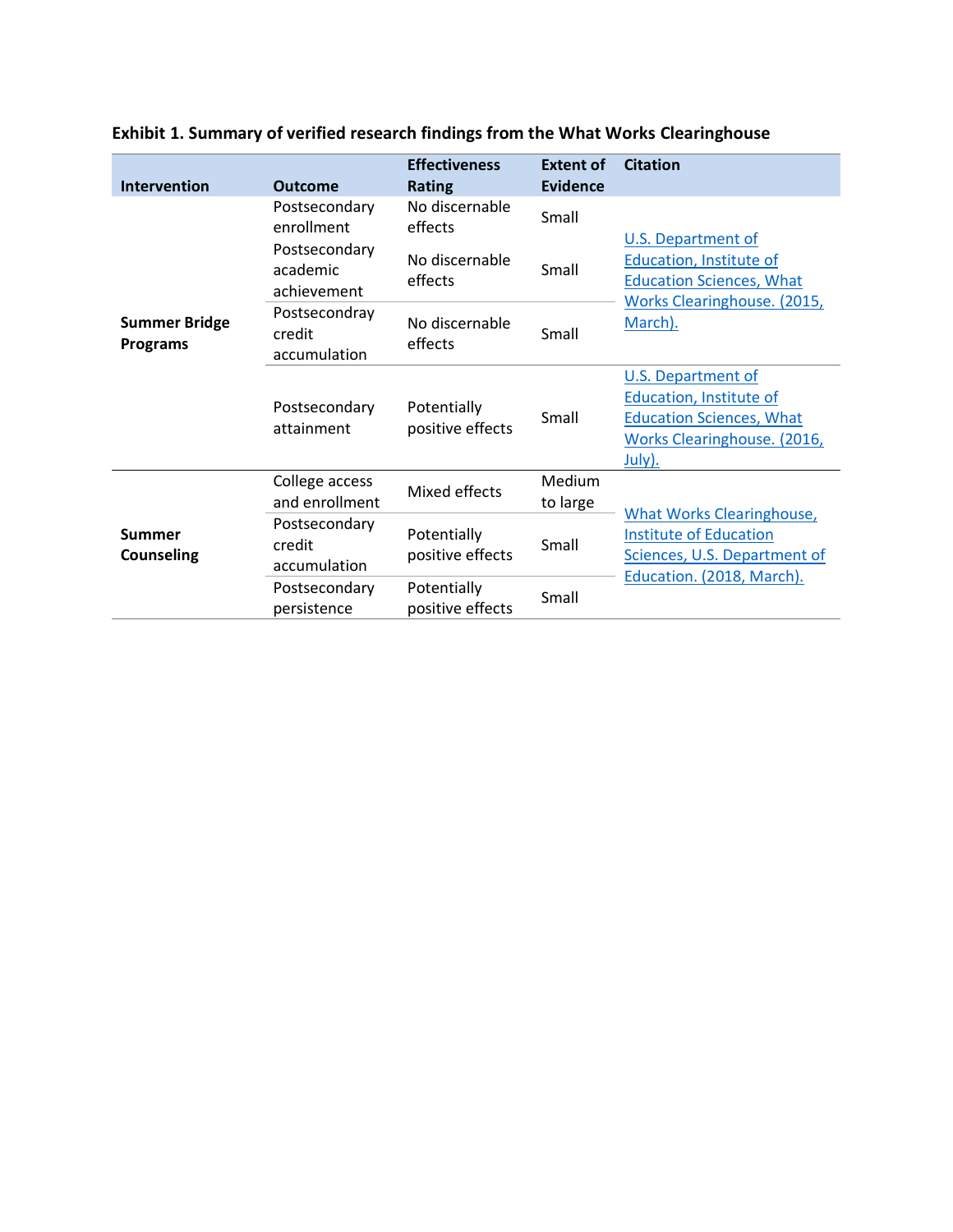| <b>Intervention</b>                     | <b>Outcome</b>                                                          | <b>Effectiveness</b><br><b>Rating</b>                  | <b>Extent of</b><br><b>Evidence</b> | <b>Citation</b>                                                                                                                   |
|-----------------------------------------|-------------------------------------------------------------------------|--------------------------------------------------------|-------------------------------------|-----------------------------------------------------------------------------------------------------------------------------------|
| <b>Summer Bridge</b><br><b>Programs</b> | Postsecondary<br>enrollment<br>Postsecondary<br>academic<br>achievement | No discernable<br>effects<br>No discernable<br>effects | Small<br>Small                      | <b>U.S. Department of</b><br>Education, Institute of<br><b>Education Sciences, What</b><br>Works Clearinghouse. (2015,<br>March). |
|                                         | Postsecondray<br>credit<br>accumulation                                 | No discernable<br>effects                              | Small                               |                                                                                                                                   |
|                                         | Postsecondary<br>attainment                                             | Potentially<br>positive effects                        | Small                               | U.S. Department of<br>Education, Institute of<br><b>Education Sciences, What</b><br>Works Clearinghouse. (2016,<br><u>July).</u>  |
| Summer<br><b>Counseling</b>             | College access<br>and enrollment                                        | Mixed effects                                          | Medium<br>to large                  |                                                                                                                                   |
|                                         | Postsecondary<br>credit<br>accumulation                                 | Potentially<br>positive effects                        | Small                               | <b>What Works Clearinghouse,</b><br><b>Institute of Education</b><br>Sciences, U.S. Department of                                 |
|                                         | Postsecondary<br>persistence                                            | Potentially<br>positive effects                        | Small                               | Education. (2018, March).                                                                                                         |

# **Exhibit 1. Summary of verified research findings from the What Works Clearinghouse**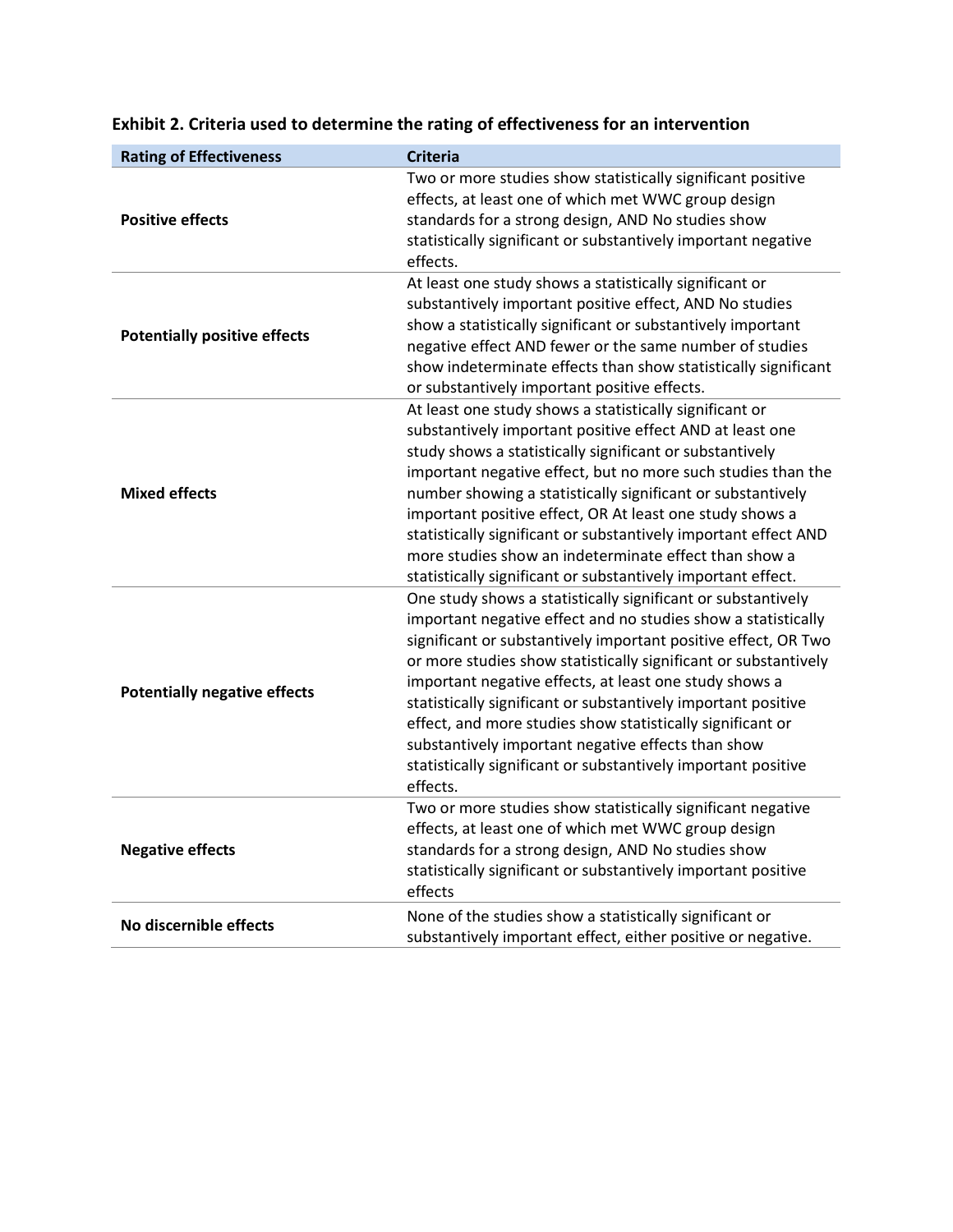| <b>Rating of Effectiveness</b>      | <b>Criteria</b>                                                                                                                                                                                                                                                                                                                                                                                                                                                                                                                                                                                |
|-------------------------------------|------------------------------------------------------------------------------------------------------------------------------------------------------------------------------------------------------------------------------------------------------------------------------------------------------------------------------------------------------------------------------------------------------------------------------------------------------------------------------------------------------------------------------------------------------------------------------------------------|
| <b>Positive effects</b>             | Two or more studies show statistically significant positive<br>effects, at least one of which met WWC group design<br>standards for a strong design, AND No studies show<br>statistically significant or substantively important negative<br>effects.                                                                                                                                                                                                                                                                                                                                          |
| <b>Potentially positive effects</b> | At least one study shows a statistically significant or<br>substantively important positive effect, AND No studies<br>show a statistically significant or substantively important<br>negative effect AND fewer or the same number of studies<br>show indeterminate effects than show statistically significant<br>or substantively important positive effects.                                                                                                                                                                                                                                 |
| <b>Mixed effects</b>                | At least one study shows a statistically significant or<br>substantively important positive effect AND at least one<br>study shows a statistically significant or substantively<br>important negative effect, but no more such studies than the<br>number showing a statistically significant or substantively<br>important positive effect, OR At least one study shows a<br>statistically significant or substantively important effect AND<br>more studies show an indeterminate effect than show a<br>statistically significant or substantively important effect.                         |
| <b>Potentially negative effects</b> | One study shows a statistically significant or substantively<br>important negative effect and no studies show a statistically<br>significant or substantively important positive effect, OR Two<br>or more studies show statistically significant or substantively<br>important negative effects, at least one study shows a<br>statistically significant or substantively important positive<br>effect, and more studies show statistically significant or<br>substantively important negative effects than show<br>statistically significant or substantively important positive<br>effects. |
| <b>Negative effects</b>             | Two or more studies show statistically significant negative<br>effects, at least one of which met WWC group design<br>standards for a strong design, AND No studies show<br>statistically significant or substantively important positive<br>effects                                                                                                                                                                                                                                                                                                                                           |
| No discernible effects              | None of the studies show a statistically significant or<br>substantively important effect, either positive or negative.                                                                                                                                                                                                                                                                                                                                                                                                                                                                        |

### **Exhibit 2. Criteria used to determine the rating of effectiveness for an intervention**